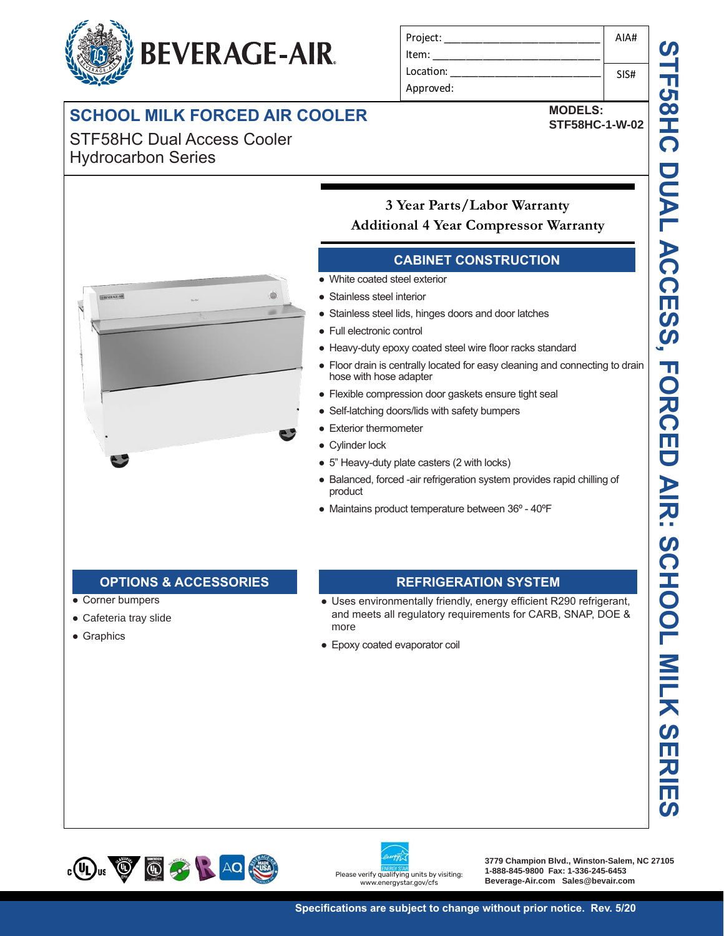# **BEVERAGE-AIR**

# **SCHOOL MILK FORCED AIR COOLER THE STEP STESSHC-1-W-02**

STF58HC Dual Access Cooler Hydrocarbon Series

| Project:  | AIA# |
|-----------|------|
| Item:     |      |
| Location: | SIS# |
| Approved: |      |

**MODELS:**



### **3 Year Parts/Labor Warranty Additional 4 Year Compressor Warranty**

#### AIA# **CABINET CONSTRUCTION**

- White coated steel exterior
- **Location:** Stainless steel interior
- **Approved: Approximates** Stainless steel lids, hinges doors and door latches
	-
	- Heavy-duty epoxy coated steel wire floor racks standard
	- Floor drain is centrally located for easy cleaning and connecting to drain hose with hose adapter
- Flexible compression door gaskets ensure tight seal
- **2 Year Compressor Warranty Warranty Warranty Self-latching doors/lids with safety bumpers** 
	- Exterior thermometer
	- Cylinder lock
- $\bullet$  5" Heavy-duty plate casters (2 with locks)
- Balanced, forced -air refrigeration system provides rapid chilling of product
- $E$ ● Maintains product temperature between 36° - 40°F

#### Door locks standard **OPTIONS & ACCESSORIES REFRIGERATION SYSTEM**

**OPTIONS & ACCESSORIESREFRIGERATION SYSTEM**

- Corner bumpers
- Cafeteria tray slide

**OPTIONS & ACCESSORIES**

● Graphics

Extra shelves & clips

shelves & clips

Visislide shelving kit

Reversible door hinge kit

 3" Casters Visislide shelving kit Reversible door hinge kit

## Self-closing hinged glass door features, pocket door handle

- eas<br>ts er<br>th lon<br>th lon<br><del>T</del>IO<br>ene whisper quiet refrigeration systems and the more ● 5" Heavy-duty plate casters (2)<br>
● Balanced, forced -air refrigerative<br>
product<br>
● Maintains product temperature<br>
● Maintains product temperature<br>
→ Uses environmentally friend<br>
more<br>
● Epoxy coated evaporator coil<br>
→ P That is a post is a feature of the Self-close Self-close Self-close Self-close Self-close Self-close Self-close Self-close Self-close Self-close Self-close Self-close Self-close Self-close Self-close Self-close Self-close • Uses environmentally friendly, energy efficient R290 refrigerant, and meets all regulatory requirements for CARB, SNAP, DOE &
- more<br>● Epoxy coated evaporator coil





**3779 Champion Blvd., Winston-Salem, NC 27105 1-888-845-9800 Fax: 1-336-245-6453 Beverage-Air.com Sales@bevair.com**